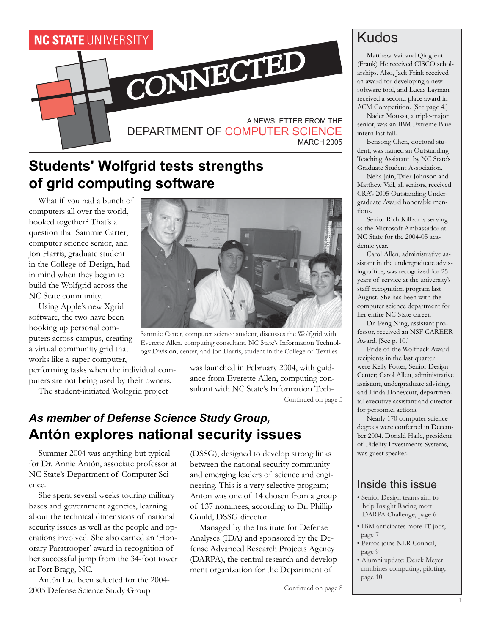

### **Students' Wolfgrid tests strengths of grid computing software**

What if you had a bunch of computers all over the world, hooked together? That's a question that Sammie Carter, computer science senior, and Jon Harris, graduate student in the College of Design, had in mind when they began to build the Wolfgrid across the NC State community.

Using Apple's new Xgrid software, the two have been hooking up personal computers across campus, creating a virtual community grid that works like a super computer,

performing tasks when the individual computers are not being used by their owners.

The student-initiated Wolfgrid project



Sammie Carter, computer science student, discusses the Wolfgrid with Everette Allen, computing consultant. NC State's Information Technology Division, center, and Jon Harris, student in the College of Textiles.

was launched in February 2004, with guidance from Everette Allen, computing consultant with NC State's Information Tech-

Continued on page 5

### *As member of Defense Science Study Group,* **Antón explores national security issues**

Summer 2004 was anything but typical for Dr. Annie Antón, associate professor at NC State's Department of Computer Science.

She spent several weeks touring military bases and government agencies, learning about the technical dimensions of national security issues as well as the people and operations involved. She also earned an 'Honorary Paratrooper' award in recognition of her successful jump from the 34-foot tower at Fort Bragg, NC.

Antón had been selected for the 2004- 2005 Defense Science Study Group

(DSSG), designed to develop strong links between the national security community and emerging leaders of science and engineering. This is a very selective program; Anton was one of 14 chosen from a group of 137 nominees, according to Dr. Phillip Gould, DSSG director.

Managed by the Institute for Defense Analyses (IDA) and sponsored by the Defense Advanced Research Projects Agency (DARPA), the central research and development organization for the Department of

Continued on page 8

### Kudos

Matthew Vail and Qingfent (Frank) He received CISCO scholarships. Also, Jack Frink received an award for developing a new software tool, and Lucas Layman received a second place award in ACM Competition. [See page 4.]

Nader Moussa, a triple-major senior, was an IBM Extreme Blue intern last fall.

Bensong Chen, doctoral student, was named an Outstanding Teaching Assistant by NC State's Graduate Student Association.

Neha Jain, Tyler Johnson and Matthew Vail, all seniors, received CRA's 2005 Outstanding Undergraduate Award honorable mentions.

Senior Rich Killian is serving as the Microsoft Ambassador at NC State for the 2004-05 academic year.

Carol Allen, administrative assistant in the undergraduate advising office, was recognized for 25 years of service at the university's staff recognition program last August. She has been with the computer science department for her entire NC State career.

Dr. Peng Ning, assistant professor, received an NSF CAREER Award. [See p. 10.]

Pride of the Wolfpack Award recipients in the last quarter were Kelly Potter, Senior Design Center; Carol Allen, administrative assistant, undergraduate advising, and Linda Honeycutt, departmental executive assistant and director for personnel actions.

Nearly 170 computer science degrees were conferred in December 2004. Donald Haile, president of Fidelity Investments Systems, was guest speaker.

#### Inside this issue

- Senior Design teams aim to help Insight Racing meet DARPA Challenge, page 6
- IBM anticipates more IT jobs, page 7
- Perros joins NLR Council, page 9
- Alumni update: Derek Meyer combines computing, piloting, page 10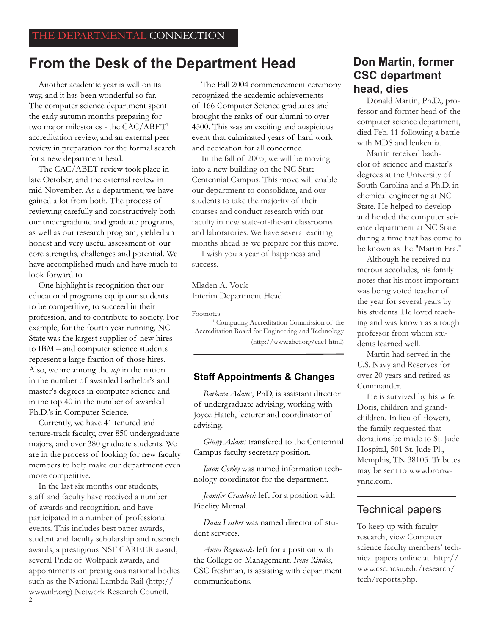### **From the Desk of the Department Head**

Another academic year is well on its way, and it has been wonderful so far. The computer science department spent the early autumn months preparing for two major milestones - the CAC/ABET1 accreditation review, and an external peer review in preparation for the formal search for a new department head.

The CAC/ABET review took place in late October, and the external review in mid-November. As a department, we have gained a lot from both. The process of reviewing carefully and constructively both our undergraduate and graduate programs, as well as our research program, yielded an honest and very useful assessment of our core strengths, challenges and potential. We have accomplished much and have much to look forward to.

One highlight is recognition that our educational programs equip our students to be competitive, to succeed in their profession, and to contribute to society. For example, for the fourth year running, NC State was the largest supplier of new hires to IBM – and computer science students represent a large fraction of those hires. Also, we are among the *top* in the nation in the number of awarded bachelor's and master's degrees in computer science and in the top 40 in the number of awarded Ph.D.'s in Computer Science.

Currently, we have 41 tenured and tenure-track faculty, over 850 undergraduate majors, and over 380 graduate students. We are in the process of looking for new faculty members to help make our department even more competitive.

In the last six months our students, staff and faculty have received a number of awards and recognition, and have participated in a number of professional events. This includes best paper awards, student and faculty scholarship and research awards, a prestigious NSF CAREER award, several Pride of Wolfpack awards, and appointments on prestigious national bodies such as the National Lambda Rail (http:// www.nlr.org) Network Research Council.

The Fall 2004 commencement ceremony recognized the academic achievements of 166 Computer Science graduates and brought the ranks of our alumni to over 4500. This was an exciting and auspicious event that culminated years of hard work and dedication for all concerned.

In the fall of 2005, we will be moving into a new building on the NC State Centennial Campus. This move will enable our department to consolidate, and our students to take the majority of their courses and conduct research with our faculty in new state-of-the-art classrooms and laboratories. We have several exciting months ahead as we prepare for this move.

I wish you a year of happiness and success.

Mladen A. Vouk Interim Department Head

Footnotes

<sup>1</sup> Computing Accreditation Commission of the Accreditation Board for Engineering and Technology (http://www.abet.org/cac1.html)

#### **Staff Appointments & Changes**

*Barbara Adams*, PhD, is assistant director of undergraduate advising, working with Joyce Hatch, lecturer and coordinator of advising.

*Ginny Adams* transfered to the Centennial Campus faculty secretary position.

*Jason Corley* was named information technology coordinator for the department.

*Jennifer Craddock* left for a position with Fidelity Mutual.

*Dana Lasher* was named director of student services.

*Anna Rzewnicki* left for a position with the College of Management. *Irene Rindos*, CSC freshman, is assisting with department communications.

#### **Don Martin, former CSC department head, dies**

Donald Martin, Ph.D., professor and former head of the computer science department, died Feb. 11 following a battle with MDS and leukemia.

Martin received bachelor of science and master's degrees at the University of South Carolina and a Ph.D. in chemical engineering at NC State. He helped to develop and headed the computer science department at NC State during a time that has come to be known as the "Martin Era."

Although he received numerous accolades, his family notes that his most important was being voted teacher of the year for several years by his students. He loved teaching and was known as a tough professor from whom students learned well.

Martin had served in the U.S. Navy and Reserves for over 20 years and retired as Commander.

He is survived by his wife Doris, children and grandchildren. In lieu of flowers, the family requested that donations be made to St. Jude Hospital, 501 St. Jude Pl., Memphis, TN 38105. Tributes may be sent to www.bronwynne.com.

#### Technical papers

To keep up with faculty research, view Computer science faculty members' technical papers online at http:// www.csc.ncsu.edu/research/ tech/reports.php.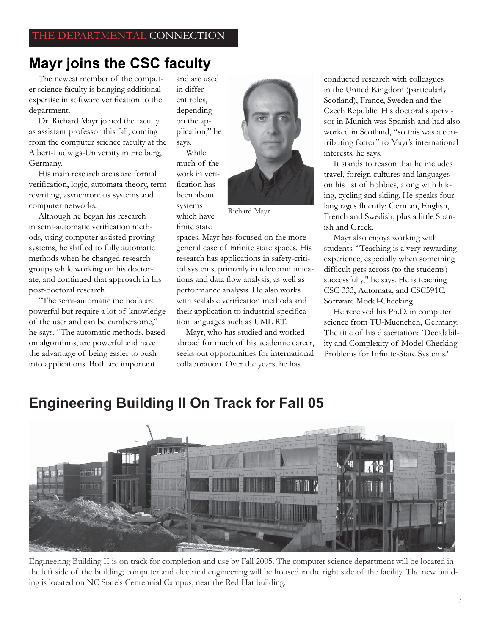### **Mayr joins the CSC faculty**

The newest member of the computer science faculty is bringing additional expertise in software verification to the department.

Dr. Richard Mayr joined the faculty as assistant professor this fall, coming from the computer science faculty at the Albert-Ludwigs-University in Freiburg, Germany.

His main research areas are formal verification, logic, automata theory, term rewriting, asynchronous systems and computer networks.

Although he began his research in semi-automatic verification methods, using computer assisted proving systems, he shifted to fully automatic methods when he changed research groups while working on his doctorate, and continued that approach in his post-doctoral research.

"The semi-automatic methods are powerful but require a lot of knowledge of the user and can be cumbersome," he says. "The automatic methods, based on algorithms, are powerful and have the advantage of being easier to push into applications. Both are important

and are used in different roles, depending on the application," he says.

While much of the work in verification has been about systems which have finite state



Richard Mayr

spaces, Mayr has focused on the more general case of infinite state spaces. His research has applications in safety-critical systems, primarily in telecommunications and data flow analysis, as well as performance analysis. He also works with scalable verification methods and their application to industrial specification languages such as UML RT.

Mayr, who has studied and worked abroad for much of his academic career, seeks out opportunities for international collaboration. Over the years, he has

conducted research with colleagues in the United Kingdom (particularly Scotland), France, Sweden and the Czech Republic. His doctoral supervisor in Munich was Spanish and had also worked in Scotland, "so this was a contributing factor" to Mayr's international interests, he says.

It stands to reason that he includes travel, foreign cultures and languages on his list of hobbies, along with hiking, cycling and skiing. He speaks four languages fluently: German, English, French and Swedish, plus a little Spanish and Greek.

Mayr also enjoys working with students. "Teaching is a very rewarding experience, especially when something difficult gets across (to the students) successfully," he says. He is teaching CSC 333, Automata, and CSC591C, Software Model-Checking.

He received his Ph.D. in computer science from TU-Muenchen, Germany. The title of his dissertation: `Decidability and Complexity of Model Checking Problems for Infinite-State Systems.'

Engineering Building II is on track for completion and use by Fall 2005. The computer science department will be located in the left side of the building; computer and electrical engineering will be housed in the right side of the facility. The new building is located on NC State's Centennial Campus, near the Red Hat building.

### **Engineering Building II On Track for Fall 05**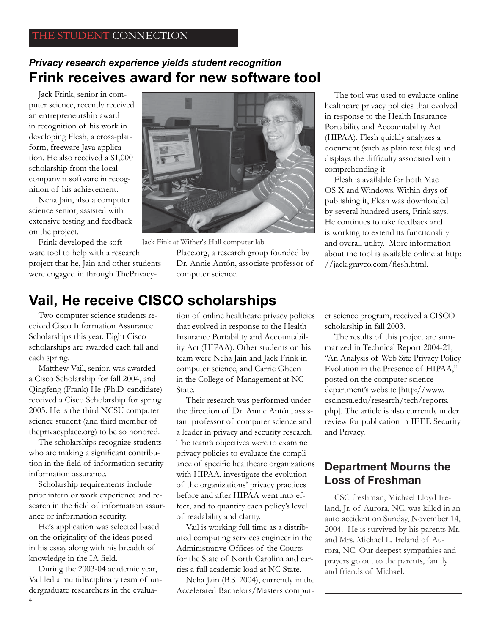### **Frink receives award for new software tool** *Privacy research experience yields student recognition*

Jack Frink, senior in computer science, recently received an entrepreneurship award in recognition of his work in developing Flesh, a cross-platform, freeware Java application. He also received a \$1,000 scholarship from the local company n software in recognition of his achievement.

Neha Jain, also a computer science senior, assisted with extensive testing and feedback on the project.

Frink developed the software tool to help with a research project that he, Jain and other students were engaged in through ThePrivacy-



Jack Fink at Wither's Hall computer lab.

Place.org, a research group founded by Dr. Annie Antón, associate professor of computer science.

The tool was used to evaluate online healthcare privacy policies that evolved in response to the Health Insurance Portability and Accountability Act (HIPAA). Flesh quickly analyzes a document (such as plain text files) and displays the difficulty associated with comprehending it.

Flesh is available for both Mac OS X and Windows. Within days of publishing it, Flesh was downloaded by several hundred users, Frink says. He continues to take feedback and is working to extend its functionality and overall utility. More information about the tool is available online at http: //jack.gravco.com/flesh.html.

### **Vail, He receive CISCO scholarships**

Two computer science students received Cisco Information Assurance Scholarships this year. Eight Cisco scholarships are awarded each fall and each spring.

Matthew Vail, senior, was awarded a Cisco Scholarship for fall 2004, and Qingfeng (Frank) He (Ph.D. candidate) received a Cisco Scholarship for spring 2005. He is the third NCSU computer science student (and third member of theprivacyplace.org) to be so honored.

The scholarships recognize students who are making a significant contribution in the field of information security information assurance.

Scholarship requirements include prior intern or work experience and research in the field of information assurance or information security.

He's application was selected based on the originality of the ideas posed in his essay along with his breadth of knowledge in the IA field.

During the 2003-04 academic year, Vail led a multidisciplinary team of undergraduate researchers in the evalua-

tion of online healthcare privacy policies that evolved in response to the Health Insurance Portability and Accountability Act (HIPAA). Other students on his team were Neha Jain and Jack Frink in computer science, and Carrie Gheen in the College of Management at NC State.

Their research was performed under the direction of Dr. Annie Antón, assistant professor of computer science and a leader in privacy and security research. The team's objectives were to examine privacy policies to evaluate the compliance of specific healthcare organizations with HIPAA, investigate the evolution of the organizations' privacy practices before and after HIPAA went into effect, and to quantify each policy's level of readability and clarity.

Vail is working full time as a distributed computing services engineer in the Administrative Offices of the Courts for the State of North Carolina and carries a full academic load at NC State.

Neha Jain (B.S. 2004), currently in the Accelerated Bachelors/Masters computer science program, received a CISCO scholarship in fall 2003.

The results of this project are summarized in Technical Report 2004-21, "An Analysis of Web Site Privacy Policy Evolution in the Presence of HIPAA," posted on the computer science department's website [http://www. csc.ncsu.edu/research/tech/reports. php]. The article is also currently under review for publication in IEEE Security and Privacy.

#### **Department Mourns the Loss of Freshman**

CSC freshman, Michael Lloyd Ireland, Jr. of Aurora, NC, was killed in an auto accident on Sunday, November 14, 2004. He is survived by his parents Mr. and Mrs. Michael L. Ireland of Aurora, NC. Our deepest sympathies and prayers go out to the parents, family and friends of Michael.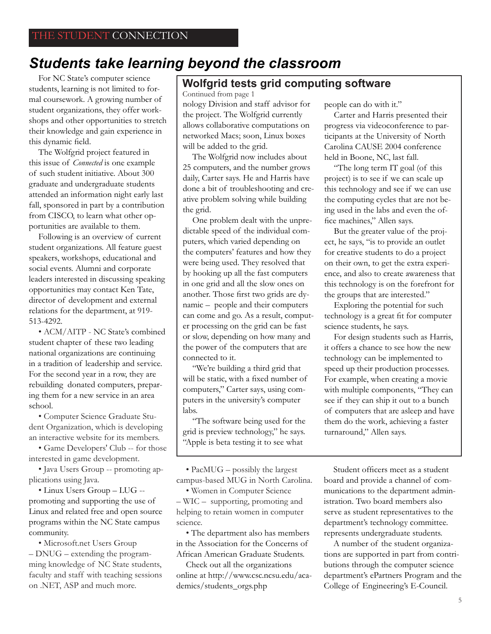### *Students take learning beyond the classroom*

For NC State's computer science students, learning is not limited to formal coursework. A growing number of student organizations, they offer workshops and other opportunities to stretch their knowledge and gain experience in this dynamic field.

The Wolfgrid project featured in this issue of *Connected* is one example of such student initiative. About 300 graduate and undergraduate students attended an information night early last fall, sponsored in part by a contribution from CISCO, to learn what other opportunities are available to them.

Following is an overview of current student organizations. All feature guest speakers, workshops, educational and social events. Alumni and corporate leaders interested in discussing speaking opportunities may contact Ken Tate, director of development and external relations for the department, at 919- 513-4292.

• ACM/AITP - NC State's combined student chapter of these two leading national organizations are continuing in a tradition of leadership and service. For the second year in a row, they are rebuilding donated computers, preparing them for a new service in an area school.

• Computer Science Graduate Student Organization, which is developing an interactive website for its members.

• Game Developers' Club -- for those interested in game development.

• Java Users Group -- promoting applications using Java.

• Linux Users Group – LUG - promoting and supporting the use of Linux and related free and open source programs within the NC State campus community.

• Microsoft.net Users Group – DNUG – extending the programming knowledge of NC State students, faculty and staff with teaching sessions on .NET, ASP and much more.

### **Wolfgrid tests grid computing software**

Continued from page 1 nology Division and staff advisor for the project. The Wolfgrid currently allows collaborative computations on networked Macs; soon, Linux boxes will be added to the grid.

The Wolfgrid now includes about 25 computers, and the number grows daily, Carter says. He and Harris have done a bit of troubleshooting and creative problem solving while building the grid.

One problem dealt with the unpredictable speed of the individual computers, which varied depending on the computers' features and how they were being used. They resolved that by hooking up all the fast computers in one grid and all the slow ones on another. Those first two grids are dynamic – people and their computers can come and go. As a result, computer processing on the grid can be fast or slow, depending on how many and the power of the computers that are connected to it.

"We're building a third grid that will be static, with a fixed number of computers," Carter says, using computers in the university's computer labs.

"The software being used for the grid is preview technology," he says. "Apple is beta testing it to see what

• PacMUG – possibly the largest campus-based MUG in North Carolina.

• Women in Computer Science – WIC – supporting, promoting and helping to retain women in computer science.

• The department also has members in the Association for the Concerns of African American Graduate Students.

Check out all the organizations online at http://www.csc.ncsu.edu/academics/students\_orgs.php

people can do with it."

Carter and Harris presented their progress via videoconference to participants at the University of North Carolina CAUSE 2004 conference held in Boone, NC, last fall.

"The long term IT goal (of this project) is to see if we can scale up this technology and see if we can use the computing cycles that are not being used in the labs and even the office machines," Allen says.

But the greater value of the project, he says, "is to provide an outlet for creative students to do a project on their own, to get the extra experience, and also to create awareness that this technology is on the forefront for the groups that are interested."

Exploring the potential for such technology is a great fit for computer science students, he says.

For design students such as Harris, it offers a chance to see how the new technology can be implemented to speed up their production processes. For example, when creating a movie with multiple components, "They can see if they can ship it out to a bunch of computers that are asleep and have them do the work, achieving a faster turnaround," Allen says.

Student officers meet as a student board and provide a channel of communications to the department administration. Two board members also serve as student representatives to the department's technology committee. represents undergraduate students.

A number of the student organizations are supported in part from contributions through the computer science department's ePartners Program and the College of Engineering's E-Council.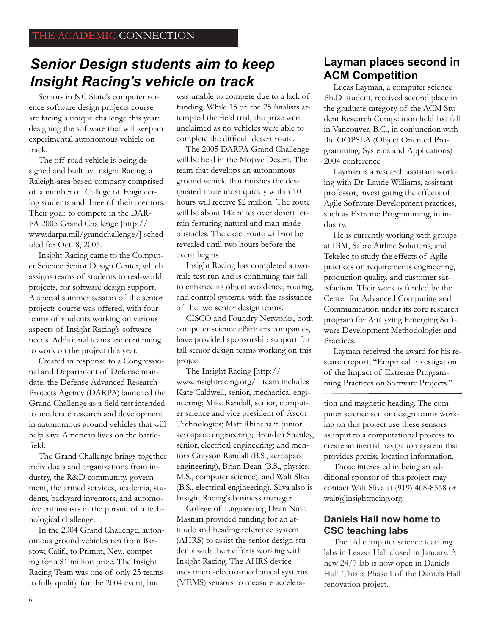### *Senior Design students aim to keep Insight Racing's vehicle on track*

Seniors in NC State's computer science software design projects course are facing a unique challenge this year: designing the software that will keep an experimental autonomous vehicle on track.

The off-road vehicle is being designed and built by Insight Racing, a Raleigh-area based company comprised of a number of College of Engineering students and three of their mentors. Their goal: to compete in the DAR-PA 2005 Grand Challenge [http:// www.darpa.mil/grandchallenge/] scheduled for Oct. 8, 2005.

Insight Racing came to the Computer Science Senior Design Center, which assigns teams of students to real-world projects, for software design support. A special summer session of the senior projects course was offered, with four teams of students working on various aspects of Insight Racing's software needs. Additional teams are continuing to work on the project this year.

Created in response to a Congressional and Department of Defense mandate, the Defense Advanced Research Projects Agency (DARPA) launched the Grand Challenge as a field test intended to accelerate research and development in autonomous ground vehicles that will help save American lives on the battlefield.

The Grand Challenge brings together individuals and organizations from industry, the R&D community, government, the armed services, academia, students, backyard inventors, and automotive enthusiasts in the pursuit of a technological challenge.

In the 2004 Grand Challenge, autonomous ground vehicles ran from Barstow, Calif., to Primm, Nev., competing for a \$1 million prize. The Insight Racing Team was one of only 25 teams to fully qualify for the 2004 event, but

was unable to compete due to a lack of funding. While 15 of the 25 finalists attempted the field trial, the prize went unclaimed as no vehicles were able to complete the difficult desert route.

The 2005 DARPA Grand Challenge will be held in the Mojave Desert. The team that develops an autonomous ground vehicle that finishes the designated route most quickly within 10 hours will receive \$2 million. The route will be about 142 miles over desert terrain featuring natural and man-made obstacles. The exact route will not be revealed until two hours before the event begins.

Insight Racing has completed a twomile test run and is continuing this fall to enhance its object avoidance, routing, and control systems, with the assistance of the two senior design teams.

CISCO and Foundry Networks, both computer science ePartners companies, have provided sponsorship support for fall senior design teams working on this project.

The Insight Racing [http:// www.insightracing.org/ ] team includes Kate Caldwell, senior, mechanical engineering; Mike Randall, senior, computer science and vice president of Ascot Technologies; Matt Rhinehart, junior, aerospace engineering; Brendan Shanley, senior, electrical engineering; and mentors Grayson Randall (B.S., aerospace engineering), Brian Dean (B.S., physics; M.S., computer science), and Walt Sliva (B.S., electrical engineering). Sliva also is Insight Racing's business manager.

College of Engineering Dean Nino Masnari provided funding for an attitude and heading reference system (AHRS) to assist the senior design students with their efforts working with Insight Racing. The AHRS device uses micro-electro-mechanical systems (MEMS) sensors to measure accelera-

#### **Layman places second in ACM Competition**

Lucas Layman, a computer science Ph.D. student, received second place in the graduate category of the ACM Student Research Competition held last fall in Vancouver, B.C., in conjunction with the OOPSLA (Object Oriented Programming, Systems and Applications) 2004 conference.

Layman is a research assistant working with Dr. Laurie Williams, assistant professor, investigating the effects of Agile Software Development practices, such as Extreme Programming, in industry.

He is currently working with groups at IBM, Sabre Airline Solutions, and Tekelec to study the effects of Agile practices on requirements engineering, production quality, and customer satisfaction. Their work is funded by the Center for Advanced Computing and Communication under its core research program for Analyzing Emerging Software Development Methodologies and Practices.

Layman received the award for his research report, "Empirical Investigation of the Impact of Extreme Programming Practices on Software Projects."

tion and magnetic heading. The computer science senior design teams working on this project use these sensors as input to a computational process to create an inertial navigation system that provides precise location information.

Those interested in being an additional sponsor of this project may contact Walt Sliva at (919) 468-8558 or walt@insightracing.org.

#### **Daniels Hall now home to CSC teaching labs**

The old computer science teaching labs in Leazar Hall closed in January. A new 24/7 lab is now open in Daniels Hall. This is Phase I of the Daniels Hall renovation project.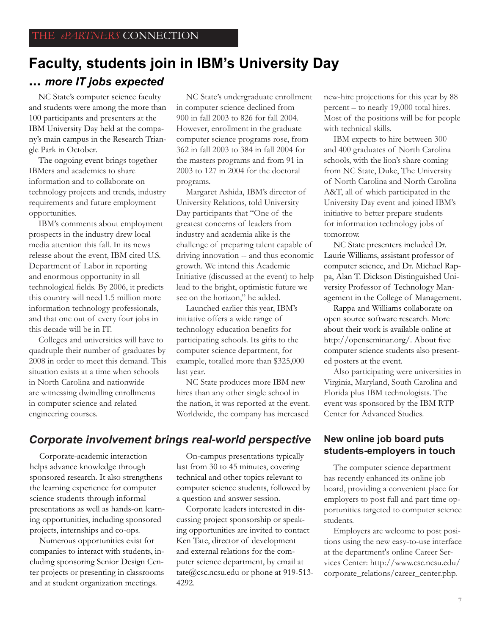### **Faculty, students join in IBM's University Day ...** *more IT jobs expected*

NC State's computer science faculty and students were among the more than 100 participants and presenters at the IBM University Day held at the company's main campus in the Research Triangle Park in October.

The ongoing event brings together IBMers and academics to share information and to collaborate on technology projects and trends, industry requirements and future employment opportunities.

IBM's comments about employment prospects in the industry drew local media attention this fall. In its news release about the event, IBM cited U.S. Department of Labor in reporting and enormous opportunity in all technological fields. By 2006, it predicts this country will need 1.5 million more information technology professionals, and that one out of every four jobs in this decade will be in IT.

Colleges and universities will have to quadruple their number of graduates by 2008 in order to meet this demand. This situation exists at a time when schools in North Carolina and nationwide are witnessing dwindling enrollments in computer science and related engineering courses.

NC State's undergraduate enrollment in computer science declined from 900 in fall 2003 to 826 for fall 2004. However, enrollment in the graduate computer science programs rose, from 362 in fall 2003 to 384 in fall 2004 for the masters programs and from 91 in 2003 to 127 in 2004 for the doctoral programs.

Margaret Ashida, IBM's director of University Relations, told University Day participants that "One of the greatest concerns of leaders from industry and academia alike is the challenge of preparing talent capable of driving innovation -- and thus economic growth. We intend this Academic Initiative (discussed at the event) to help lead to the bright, optimistic future we see on the horizon," he added.

Launched earlier this year, IBM's initiative offers a wide range of technology education benefits for participating schools. Its gifts to the computer science department, for example, totalled more than \$325,000 last year.

NC State produces more IBM new hires than any other single school in the nation, it was reported at the event. Worldwide, the company has increased

#### *Corporate involvement brings real-world perspective* **New online job board puts**

Corporate-academic interaction helps advance knowledge through sponsored research. It also strengthens the learning experience for computer science students through informal presentations as well as hands-on learning opportunities, including sponsored projects, internships and co-ops.

Numerous opportunities exist for companies to interact with students, including sponsoring Senior Design Center projects or presenting in classrooms and at student organization meetings.

On-campus presentations typically last from 30 to 45 minutes, covering technical and other topics relevant to computer science students, followed by a question and answer session.

Corporate leaders interested in discussing project sponsorship or speaking opportunities are invited to contact Ken Tate, director of development and external relations for the computer science department, by email at tate@csc.ncsu.edu or phone at 919-513- 4292.

new-hire projections for this year by 88 percent – to nearly 19,000 total hires. Most of the positions will be for people with technical skills.

IBM expects to hire between 300 and 400 graduates of North Carolina schools, with the lion's share coming from NC State, Duke, The University of North Carolina and North Carolina A&T, all of which participated in the University Day event and joined IBM's initiative to better prepare students for information technology jobs of tomorrow.

NC State presenters included Dr. Laurie Williams, assistant professor of computer science, and Dr. Michael Rappa, Alan T. Dickson Distinguished University Professor of Technology Management in the College of Management.

Rappa and Williams collaborate on open source software research. More about their work is available online at http://openseminar.org/. About five computer science students also presented posters at the event.

Also participating were universities in Virginia, Maryland, South Carolina and Florida plus IBM technologists. The event was sponsored by the IBM RTP Center for Advanced Studies.

# **students-employers in touch**

The computer science department has recently enhanced its online job board, providing a convenient place for employers to post full and part time opportunities targeted to computer science students.

Employers are welcome to post positions using the new easy-to-use interface at the department's online Career Services Center: http://www.csc.ncsu.edu/ corporate\_relations/career\_center.php.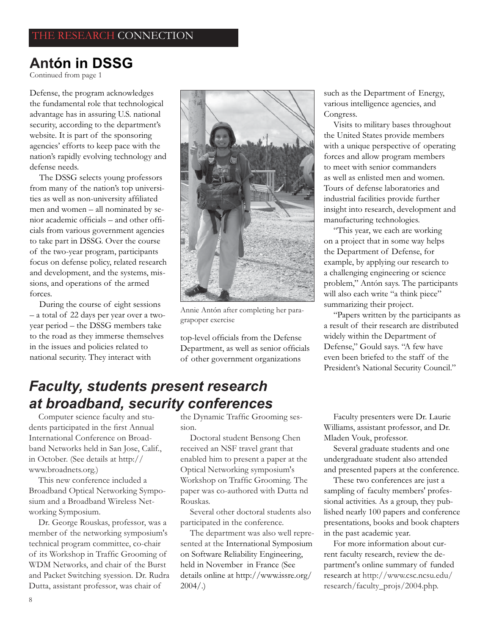### **Antón in DSSG**

Continued from page 1

Defense, the program acknowledges the fundamental role that technological advantage has in assuring U.S. national security, according to the department's website. It is part of the sponsoring agencies' efforts to keep pace with the nation's rapidly evolving technology and defense needs.

The DSSG selects young professors from many of the nation's top universities as well as non-university affiliated men and women – all nominated by senior academic officials – and other officials from various government agencies to take part in DSSG. Over the course of the two-year program, participants focus on defense policy, related research and development, and the systems, missions, and operations of the armed forces.

During the course of eight sessions – a total of 22 days per year over a twoyear period – the DSSG members take to the road as they immerse themselves in the issues and policies related to national security. They interact with



Annie Antón after completing her paragrapoper exercise

top-level officials from the Defense Department, as well as senior officials of other government organizations

such as the Department of Energy, various intelligence agencies, and Congress.

Visits to military bases throughout the United States provide members with a unique perspective of operating forces and allow program members to meet with senior commanders as well as enlisted men and women. Tours of defense laboratories and industrial facilities provide further insight into research, development and manufacturing technologies.

"This year, we each are working on a project that in some way helps the Department of Defense, for example, by applying our research to a challenging engineering or science problem," Antón says. The participants will also each write "a think piece" summarizing their project.

"Papers written by the participants as a result of their research are distributed widely within the Department of Defense," Gould says. "A few have even been briefed to the staff of the President's National Security Council."

### *Faculty, students present research at broadband, security conferences*

Computer science faculty and students participated in the first Annual International Conference on Broadband Networks held in San Jose, Calif., in October. (See details at http:// www.broadnets.org.)

This new conference included a Broadband Optical Networking Symposium and a Broadband Wireless Networking Symposium.

Dr. George Rouskas, professor, was a member of the networking symposium's technical program committee, co-chair of its Workshop in Traffic Grooming of WDM Networks, and chair of the Burst and Packet Switching syession. Dr. Rudra Dutta, assistant professor, was chair of

the Dynamic Traffic Grooming session.

Doctoral student Bensong Chen received an NSF travel grant that enabled him to present a paper at the Optical Networking symposium's Workshop on Traffic Grooming. The paper was co-authored with Dutta nd Rouskas.

Several other doctoral students also participated in the conference.

The department was also well represented at the International Symposium on Software Reliability Engineering, held in November in France (See details online at http://www.issre.org/  $2004/$ .)

Faculty presenters were Dr. Laurie Williams, assistant professor, and Dr. Mladen Vouk, professor.

Several graduate students and one undergraduate student also attended and presented papers at the conference.

These two conferences are just a sampling of faculty members' professional activities. As a group, they published nearly 100 papers and conference presentations, books and book chapters in the past academic year.

For more information about current faculty research, review the department's online summary of funded research at http://www.csc.ncsu.edu/ research/faculty\_projs/2004.php.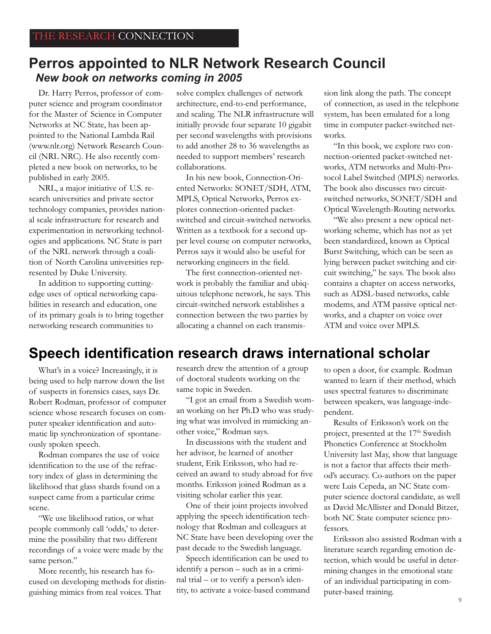### **Perros appointed to NLR Network Research Council** *New book on networks coming in 2005*

Dr. Harry Perros, professor of computer science and program coordinator for the Master of Science in Computer Networks at NC State, has been appointed to the National Lambda Rail (www.nlr.org) Network Research Council (NRL NRC). He also recently completed a new book on networks, to be published in early 2005.

NRL, a major initiative of U.S. research universities and private sector technology companies, provides national scale infrastructure for research and experimentation in networking technologies and applications. NC State is part of the NRL network through a coalition of North Carolina universities represented by Duke University.

In addition to supporting cuttingedge uses of optical networking capabilities in research and education, one of its primary goals is to bring together networking research communities to

solve complex challenges of network architecture, end-to-end performance, and scaling. The NLR infrastructure will initially provide four separate 10 gigabit per second wavelengths with provisions to add another 28 to 36 wavelengths as needed to support members' research collaborations.

In his new book, Connection-Oriented Networks: SONET/SDH, ATM, MPLS, Optical Networks, Perros explores connection-oriented packetswitched and circuit-switched networks. Written as a textbook for a second upper level course on computer networks, Perros says it would also be useful for networking engineers in the field.

The first connection-oriented network is probably the familiar and ubiquitous telephone network, he says. This circuit-switched network establishes a connection between the two parties by allocating a channel on each transmission link along the path. The concept of connection, as used in the telephone system, has been emulated for a long time in computer packet-switched networks.

"In this book, we explore two connection-oriented packet-switched networks, ATM networks and Multi-Protocol Label Switched (MPLS) networks. The book also discusses two circuitswitched networks, SONET/SDH and Optical Wavelength-Routing networks.

"We also present a new optical networking scheme, which has not as yet been standardized, known as Optical Burst Switching, which can be seen as lying between packet switching and circuit switching," he says. The book also contains a chapter on access networks, such as ADSL-based networks, cable modems, and ATM passive optical networks, and a chapter on voice over ATM and voice over MPLS.

### **Speech identification research draws international scholar**

What's in a voice? Increasingly, it is being used to help narrow down the list of suspects in forensics cases, says Dr. Robert Rodman, professor of computer science whose research focuses on computer speaker identification and automatic lip synchronization of spontaneously spoken speech.

Rodman compares the use of voice identification to the use of the refractory index of glass in determining the likelihood that glass shards found on a suspect came from a particular crime scene.

"We use likelihood ratios, or what people commonly call 'odds,' to determine the possibility that two different recordings of a voice were made by the same person."

More recently, his research has focused on developing methods for distinguishing mimics from real voices. That

research drew the attention of a group of doctoral students working on the same topic in Sweden.

"I got an email from a Swedish woman working on her Ph.D who was studying what was involved in mimicking another voice," Rodman says.

In discussions with the student and her advisor, he learned of another student, Erik Eriksson, who had received an award to study abroad for five months. Eriksson joined Rodman as a visiting scholar earlier this year.

One of their joint projects involved applying the speech identification technology that Rodman and colleagues at NC State have been developing over the past decade to the Swedish language.

Speech identification can be used to identify a person – such as in a criminal trial – or to verify a person's identity, to activate a voice-based command to open a door, for example. Rodman wanted to learn if their method, which uses spectral features to discriminate between speakers, was language-independent.

Results of Eriksson's work on the project, presented at the 17<sup>th</sup> Swedish Phonetics Conference at Stockholm University last May, show that language is not a factor that affects their method's accuracy. Co-authors on the paper were Luis Cepeda, an NC State computer science doctoral candidate, as well as David McAllister and Donald Bitzer, both NC State computer science professors.

Eriksson also assisted Rodman with a literature search regarding emotion detection, which would be useful in determining changes in the emotional state of an individual participating in computer-based training.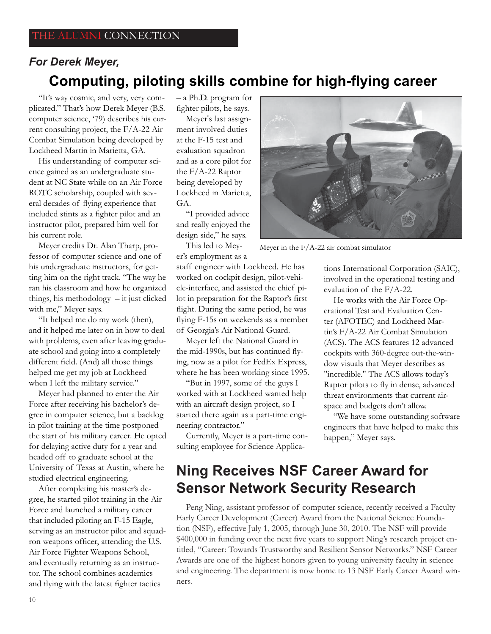### **Computing, piloting skills combine for high-flying career** *For Derek Meyer,*

"It's way cosmic, and very, very complicated." That's how Derek Meyer (B.S. computer science, '79) describes his current consulting project, the F/A-22 Air Combat Simulation being developed by Lockheed Martin in Marietta, GA.

His understanding of computer science gained as an undergraduate student at NC State while on an Air Force ROTC scholarship, coupled with several decades of flying experience that included stints as a fighter pilot and an instructor pilot, prepared him well for his current role.

Meyer credits Dr. Alan Tharp, professor of computer science and one of his undergraduate instructors, for getting him on the right track. "The way he ran his classroom and how he organized things, his methodology – it just clicked with me," Meyer says.

"It helped me do my work (then), and it helped me later on in how to deal with problems, even after leaving graduate school and going into a completely different field. (And) all those things helped me get my job at Lockheed when I left the military service."

Meyer had planned to enter the Air Force after receiving his bachelor's degree in computer science, but a backlog in pilot training at the time postponed the start of his military career. He opted for delaying active duty for a year and headed off to graduate school at the University of Texas at Austin, where he studied electrical engineering.

After completing his master's degree, he started pilot training in the Air Force and launched a military career that included piloting an F-15 Eagle, serving as an instructor pilot and squadron weapons officer, attending the U.S. Air Force Fighter Weapons School, and eventually returning as an instructor. The school combines academics and flying with the latest fighter tactics

– a Ph.D. program for fighter pilots, he says.

Meyer's last assignment involved duties at the F-15 test and evaluation squadron and as a core pilot for the F/A-22 Raptor being developed by Lockheed in Marietta, GA.

"I provided advice and really enjoyed the design side," he says.

This led to Meyer's employment as a

staff engineer with Lockheed. He has worked on cockpit design, pilot-vehicle-interface, and assisted the chief pilot in preparation for the Raptor's first flight. During the same period, he was flying F-15s on weekends as a member of Georgia's Air National Guard.

Meyer left the National Guard in the mid-1990s, but has continued flying, now as a pilot for FedEx Express, where he has been working since 1995.

"But in 1997, some of the guys I worked with at Lockheed wanted help with an aircraft design project, so I started there again as a part-time engineering contractor."

Currently, Meyer is a part-time consulting employee for Science Applica-



Meyer in the F/A-22 air combat simulator

tions International Corporation (SAIC), involved in the operational testing and evaluation of the F/A-22.

He works with the Air Force Operational Test and Evaluation Center (AFOTEC) and Lockheed Martin's F/A-22 Air Combat Simulation (ACS). The ACS features 12 advanced cockpits with 360-degree out-the-window visuals that Meyer describes as "incredible." The ACS allows today's Raptor pilots to fly in dense, advanced threat environments that current airspace and budgets don't allow.

"We have some outstanding software engineers that have helped to make this happen," Meyer says.

### **Ning Receives NSF Career Award for Sensor Network Security Research**

Peng Ning, assistant professor of computer science, recently received a Faculty Early Career Development (Career) Award from the National Science Foundation (NSF), effective July 1, 2005, through June 30, 2010. The NSF will provide \$400,000 in funding over the next five years to support Ning's research project entitled, "Career: Towards Trustworthy and Resilient Sensor Networks." NSF Career Awards are one of the highest honors given to young university faculty in science and engineering. The department is now home to 13 NSF Early Career Award winners.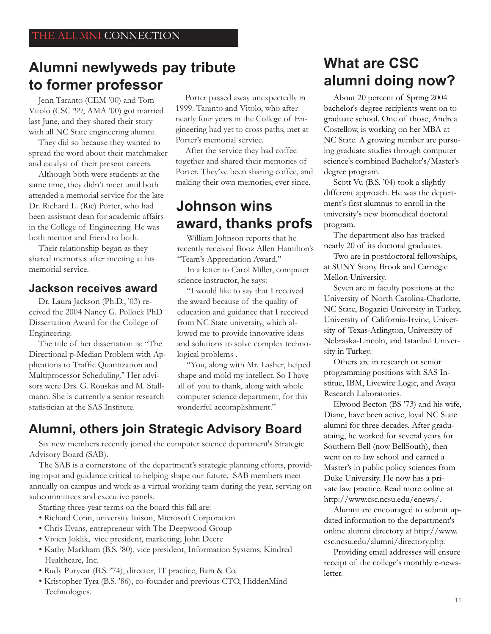### **Alumni newlyweds pay tribute to former professor**

Jenn Taranto (CEM '00) and Tom Vitolo (CSC '99, AMA '00) got married last June, and they shared their story with all NC State engineering alumni.

They did so because they wanted to spread the word about their matchmaker and catalyst of their present careers.

Although both were students at the same time, they didn't meet until both attended a memorial service for the late Dr. Richard L. (Ric) Porter, who had been assistant dean for academic affairs in the College of Engineering. He was both mentor and friend to both.

Their relationship began as they shared memories after meeting at his memorial service.

#### **Jackson receives award**

Dr. Laura Jackson (Ph.D., '03) received the 2004 Nancy G. Pollock PhD Dissertation Award for the College of Engineering.

The title of her dissertation is: "The Directional p-Median Problem with Applications to Traffic Quantization and Multiprocessor Scheduling." Her advisors were Drs. G. Rouskas and M. Stallmann. She is currently a senior research statistician at the SAS Institute.

Porter passed away unexpectedly in 1999. Taranto and Vitolo, who after nearly four years in the College of Engineering had yet to cross paths, met at Porter's memorial service.

After the service they had coffee together and shared their memories of Porter. They've been sharing coffee, and making their own memories, ever since.

### **Johnson wins award, thanks profs**

William Johnson reports that he recently received Booz Allen Hamilton's "Team's Appreciation Award."

In a letter to Carol Miller, computer science instructor, he says:

"I would like to say that I received the award because of the quality of education and guidance that I received from NC State university, which allowed me to provide innovative ideas and solutions to solve complex technological problems .

"You, along with Mr. Lasher, helped shape and mold my intellect. So I have all of you to thank, along with whole computer science department, for this wonderful accomplishment."

### **Alumni, others join Strategic Advisory Board**

Six new members recently joined the computer science department's Strategic Advisory Board (SAB).

The SAB is a cornerstone of the department's strategic planning efforts, providing input and guidance critical to helping shape our future. SAB members meet annually on campus and work as a virtual working team during the year, serving on subcommittees and executive panels.

Starting three-year terms on the board this fall are:

- Richard Conn, university liaison, Microsoft Corporation
- Chris Evans, entrepreneur with The Deepwood Group
- Vivien Joklik, vice president, marketing, John Deere
- Kathy Markham (B.S. '80), vice president, Information Systems, Kindred Healthcare, Inc.
- Rudy Puryear (B.S. '74), director, IT practice, Bain & Co.
- Kristopher Tyra (B.S. '86), co-founder and previous CTO, HiddenMind Technologies.

### **What are CSC alumni doing now?**

About 20 percent of Spring 2004 bachelor's degree recipients went on to graduate school. One of those, Andrea Costellow, is working on her MBA at NC State. A growing number are pursuing graduate studies through computer science's combined Bachelor's/Master's degree program.

Scott Vu (B.S. '04) took a slightly different approach. He was the department's first alumnus to enroll in the university's new biomedical doctoral program.

The department also has tracked nearly 20 of its doctoral graduates.

Two are in postdoctoral fellowships, at SUNY Stony Brook and Carnegie Mellon University.

Seven are in faculty positions at the University of North Carolina-Charlotte, NC State, Bogazici University in Turkey, University of California-Irvine, University of Texas-Arlington, University of Nebraska-Lincoln, and Istanbul University in Turkey.

Others are in research or senior programming positions with SAS Institue, IBM, Livewire Logic, and Avaya Research Laboratories.

Elwood Becton (BS '73) and his wife, Diane, have been active, loyal NC State alumni for three decades. After graduataing, he worked for several years for Southern Bell (now BellSouth), then went on to law school and earned a Master's in public policy sciences from Duke University. He now has a private law practice. Read more online at http://www.csc.ncsu.edu/enews/.

Alumni are encouraged to submit updated information to the department's online alumni directory at http://www. csc.ncsu.edu/alumni/directory.php.

Providing email addresses will ensure receipt of the college's monthly e-newsletter.